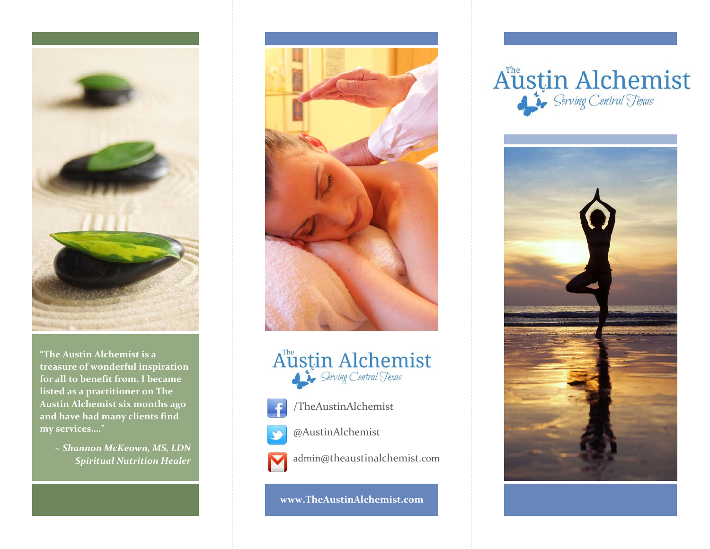

**"The Austin Alchemist is <sup>a</sup> treasure of wonderful inspiration for all to benefit from. I became listed as <sup>a</sup> practitioner on The Austin Alchemist six months ago and have had many clients find my services…."**

> *~ Shannon McKeown, MS, LDN Spiritual Nutrition Healer*





/TheAustinAlchemist



@AustinAlchemist

admin@theaustinalchemist.com M

**www.TheAustinAlchemist.com**

# Austin Alchemist